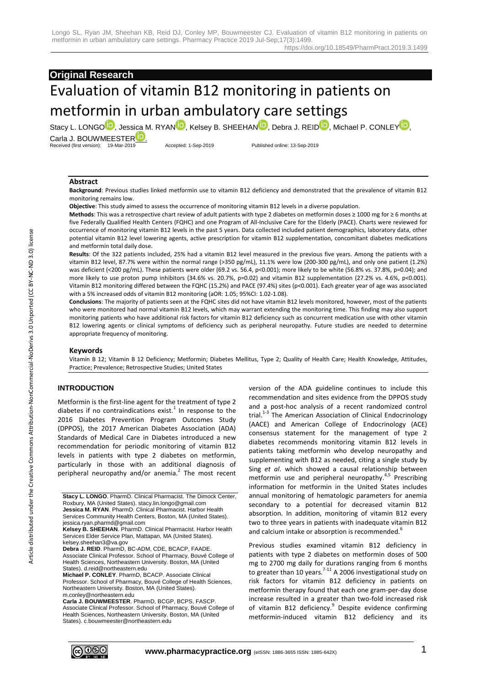# **Original Research**

# Evaluation of vitamin B12 monitoring in patients on metformin in urban ambulatory care settings

Stacy L. L[O](http://orcid.org/0000-0002-2752-3405)[N](http://orcid.org/0000-0001-8785-8920)GO<sup>[D](http://orcid.org/0000-0001-8966-3502)</sup>, Jessica M. R[Y](http://orcid.org/0000-0003-3730-0843)AN<sup>D</sup>, Kelsey B. SHEEHAN<sup>D</sup>, Debra J. REID<sup>D</sup>, Michael P. CONLEY<sup>D</sup>, Carla J[.](http://orcid.org/0000-0002-3633-354X) BOUWMEESTER<sup>LE</sup> Received (first version): 19-Mar-2019 Accepted: 1-Sep-2019 Published online: 13-Sep-2019

**Abstract** 

**Background**: Previous studies linked metformin use to vitamin B12 deficiency and demonstrated that the prevalence of vitamin B12 monitoring remains low.

**Objective**: This study aimed to assess the occurrence of monitoring vitamin B12 levels in a diverse population.

**Methods**: This was a retrospective chart review of adult patients with type 2 diabetes on metformin doses ≥ 1000 mg for ≥ 6 months at five Federally Qualified Health Centers (FQHC) and one Program of All-Inclusive Care for the Elderly (PACE). Charts were reviewed for occurrence of monitoring vitamin B12 levels in the past 5 years. Data collected included patient demographics, laboratory data, other potential vitamin B12 level lowering agents, active prescription for vitamin B12 supplementation, concomitant diabetes medications and metformin total daily dose.

**Results**: Of the 322 patients included, 25% had a vitamin B12 level measured in the previous five years. Among the patients with a vitamin B12 level, 87.7% were within the normal range (>350 pg/mL), 11.1% were low (200-300 pg/mL), and only one patient (1.2%) was deficient (<200 pg/mL). These patients were older (69.2 vs. 56.4, p<0.001); more likely to be white (56.8% vs. 37.8%, p=0.04); and more likely to use proton pump inhibitors (34.6% vs. 20.7%, p=0.02) and vitamin B12 supplementation (27.2% vs. 4.6%, p<0.001). Vitamin B12 monitoring differed between the FQHC (15.2%) and PACE (97.4%) sites (p<0.001). Each greater year of age was associated with a 5% increased odds of vitamin B12 monitoring (aOR: 1.05; 95%CI: 1.02-1.08).

**Conclusions**: The majority of patients seen at the FQHC sites did not have vitamin B12 levels monitored, however, most of the patients who were monitored had normal vitamin B12 levels, which may warrant extending the monitoring time. This finding may also support monitoring patients who have additional risk factors for vitamin B12 deficiency such as concurrent medication use with other vitamin B12 lowering agents or clinical symptoms of deficiency such as peripheral neuropathy. Future studies are needed to determine appropriate frequency of monitoring.

#### **Keywords**

Vitamin B 12; Vitamin B 12 Deficiency; Metformin; Diabetes Mellitus, Type 2; Quality of Health Care; Health Knowledge, Attitudes, Practice; Prevalence; Retrospective Studies; United States

#### **INTRODUCTION**

Metformin is the first-line agent for the treatment of type 2 diabetes if no contraindications exist. $^{1}$  In response to the 2016 Diabetes Prevention Program Outcomes Study (DPPOS), the 2017 American Diabetes Association (ADA) Standards of Medical Care in Diabetes introduced a new recommendation for periodic monitoring of vitamin B12 levels in patients with type 2 diabetes on metformin, particularly in those with an additional diagnosis of peripheral neuropathy and/or anemia. $^2$  The most recent

**Stacy L. LONGO.** PharmD. Clinical Pharmacist. The Dimock Center, Roxbury, MA (United States). stacy.lin.longo@gmail.com **Jessica M. RYAN**. PharmD. Clinical Pharmacist. Harbor Health Services Community Health Centers, Boston, MA (United States).

jessica.ryan.pharmd@gmail.com **Kelsey B. SHEEHAN**. PharmD. Clinical Pharmacist. Harbor Health

Services Elder Service Plan, Mattapan, MA (United States).

kelsey.sheehan3@va.gov **Debra J. REID**. PharmD, BC-ADM, CDE, BCACP, FAADE. Associate Clinical Professor. School of Pharmacy, Bouvé College of Health Sciences, Northeastern University. Boston, MA (United States). d.reid@northeastern.edu

**Michael P. CONLEY**. PharmD, BCACP. Associate Clinical Professor. School of Pharmacy, Bouvé College of Health Sciences, Northeastern University. Boston, MA (United States). m.conley@northeastern.edu

**Carla J. BOUWMEESTER**. PharmD, BCGP, BCPS, FASCP. Associate Clinical Professor. School of Pharmacy, Bouvé College of Health Sciences, Northeastern University. Boston, MA (United States). c.bouwmeester@northeastern.edu

version of the ADA guideline continues to include this recommendation and sites evidence from the DPPOS study and a post-hoc analysis of a recent randomized control trial.<sup>1-3</sup> The American Association of Clinical Endocrinology (AACE) and American College of Endocrinology (ACE) consensus statement for the management of type 2 diabetes recommends monitoring vitamin B12 levels in patients taking metformin who develop neuropathy and supplementing with B12 as needed, citing a single study by Sing *et al*. which showed a causal relationship between metformin use and peripheral neuropathy. $4,5$  Prescribing information for metformin in the United States includes annual monitoring of hematologic parameters for anemia secondary to a potential for decreased vitamin B12 absorption. In addition, monitoring of vitamin B12 every two to three years in patients with inadequate vitamin B12 and calcium intake or absorption is recommended.<sup>6</sup>

Previous studies examined vitamin B12 deficiency in patients with type 2 diabetes on metformin doses of 500 mg to 2700 mg daily for durations ranging from 6 months to greater than 10 years.<sup>7-11</sup> A 2006 investigational study on risk factors for vitamin B12 deficiency in patients on metformin therapy found that each one gram-per-day dose increase resulted in a greater than two-fold increased risk of vitamin B12 deficiency.<sup>9</sup> Despite evidence confirming metformin-induced vitamin B12 deficiency and its

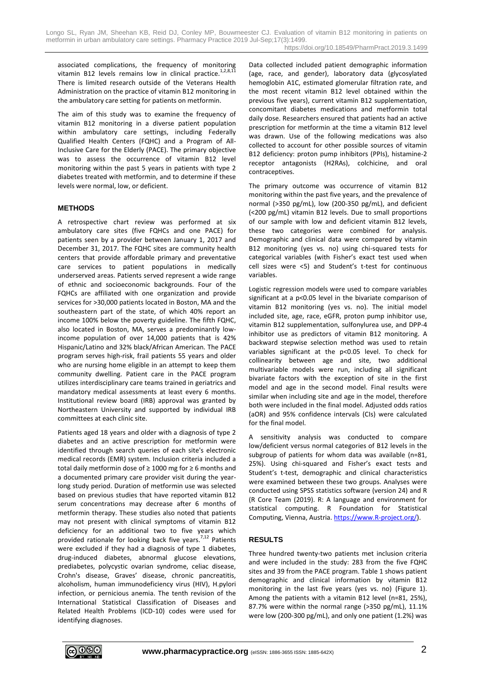associated complications, the frequency of monitoring vitamin B12 levels remains low in clinical practice.<sup>1,2,8,11</sup> There is limited research outside of the Veterans Health Administration on the practice of vitamin B12 monitoring in the ambulatory care setting for patients on metformin.

The aim of this study was to examine the frequency of vitamin B12 monitoring in a diverse patient population within ambulatory care settings, including Federally Qualified Health Centers (FQHC) and a Program of All-Inclusive Care for the Elderly (PACE). The primary objective was to assess the occurrence of vitamin B12 level monitoring within the past 5 years in patients with type 2 diabetes treated with metformin, and to determine if these levels were normal, low, or deficient.

### **METHODS**

A retrospective chart review was performed at six ambulatory care sites (five FQHCs and one PACE) for patients seen by a provider between January 1, 2017 and December 31, 2017. The FQHC sites are community health centers that provide affordable primary and preventative care services to patient populations in medically underserved areas. Patients served represent a wide range of ethnic and socioeconomic backgrounds. Four of the FQHCs are affiliated with one organization and provide services for >30,000 patients located in Boston, MA and the southeastern part of the state, of which 40% report an income 100% below the poverty guideline. The fifth FQHC, also located in Boston, MA, serves a predominantly lowincome population of over 14,000 patients that is 42% Hispanic/Latino and 32% black/African American. The PACE program serves high-risk, frail patients 55 years and older who are nursing home eligible in an attempt to keep them community dwelling. Patient care in the PACE program utilizes interdisciplinary care teams trained in geriatrics and mandatory medical assessments at least every 6 months. Institutional review board (IRB) approval was granted by Northeastern University and supported by individual IRB committees at each clinic site.

Patients aged 18 years and older with a diagnosis of type 2 diabetes and an active prescription for metformin were identified through search queries of each site's electronic medical records (EMR) system. Inclusion criteria included a total daily metformin dose of ≥ 1000 mg for ≥ 6 months and a documented primary care provider visit during the yearlong study period. Duration of metformin use was selected based on previous studies that have reported vitamin B12 serum concentrations may decrease after 6 months of metformin therapy. These studies also noted that patients may not present with clinical symptoms of vitamin B12 deficiency for an additional two to five years which provided rationale for looking back five years.<sup>7,12</sup> Patients were excluded if they had a diagnosis of type 1 diabetes. drug-induced diabetes, abnormal glucose elevations, prediabetes, polycystic ovarian syndrome, celiac disease, Crohn's disease, Graves' disease, chronic pancreatitis, alcoholism, human immunodeficiency virus (HIV), H.pylori infection, or pernicious anemia. The tenth revision of the International Statistical Classification of Diseases and Related Health Problems (ICD-10) codes were used for identifying diagnoses.

Data collected included patient demographic information (age, race, and gender), laboratory data (glycosylated hemoglobin A1C, estimated glomerular filtration rate, and the most recent vitamin B12 level obtained within the previous five years), current vitamin B12 supplementation, concomitant diabetes medications and metformin total daily dose. Researchers ensured that patients had an active prescription for metformin at the time a vitamin B12 level was drawn. Use of the following medications was also collected to account for other possible sources of vitamin B12 deficiency: proton pump inhibitors (PPIs), histamine-2 receptor antagonists (H2RAs), colchicine, and oral contraceptives.

The primary outcome was occurrence of vitamin B12 monitoring within the past five years, and the prevalence of normal (>350 pg/mL), low (200-350 pg/mL), and deficient (<200 pg/mL) vitamin B12 levels. Due to small proportions of our sample with low and deficient vitamin B12 levels, these two categories were combined for analysis. Demographic and clinical data were compared by vitamin B12 monitoring (yes vs. no) using chi-squared tests for categorical variables (with Fisher's exact test used when cell sizes were <5) and Student's t-test for continuous variables.

Logistic regression models were used to compare variables significant at a p<0.05 level in the bivariate comparison of vitamin B12 monitoring (yes vs. no). The initial model included site, age, race, eGFR, proton pump inhibitor use, vitamin B12 supplementation, sulfonylurea use, and DPP-4 inhibitor use as predictors of vitamin B12 monitoring. A backward stepwise selection method was used to retain variables significant at the p<0.05 level. To check for collinearity between age and site, two additional multivariable models were run, including all significant bivariate factors with the exception of site in the first model and age in the second model. Final results were similar when including site and age in the model, therefore both were included in the final model. Adjusted odds ratios (aOR) and 95% confidence intervals (CIs) were calculated for the final model.

A sensitivity analysis was conducted to compare low/deficient versus normal categories of B12 levels in the subgroup of patients for whom data was available (n=81, 25%). Using chi-squared and Fisher's exact tests and Student's t-test, demographic and clinical characteristics were examined between these two groups. Analyses were conducted using SPSS statistics software (version 24) and R (R Core Team (2019). R: A language and environment for statistical computing. R Foundation for Statistical Computing, Vienna, Austria. [https://www.R-project.org/\)](https://www.r-project.org/).

## **RESULTS**

Three hundred twenty-two patients met inclusion criteria and were included in the study: 283 from the five FQHC sites and 39 from the PACE program. Table 1 shows patient demographic and clinical information by vitamin B12 monitoring in the last five years (yes vs. no) (Figure 1). Among the patients with a vitamin B12 level (n=81, 25%), 87.7% were within the normal range (>350 pg/mL), 11.1% were low (200-300 pg/mL), and only one patient (1.2%) was

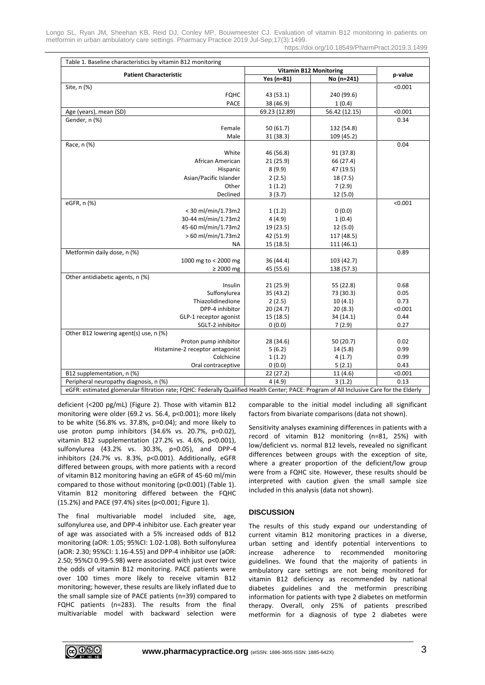Longo SL, Ryan JM, Sheehan KB, Reid DJ, Conley MP, Bouwmeester CJ. Evaluation of vitamin B12 monitoring in patients on metformin in urban ambulatory care settings. Pharmacy Practice 2019 Jul-Sep;17(3):1499. https://doi.org/10.18549/PharmPract.2019.3.1499

| Table 1. Baseline characteristics by vitamin B12 monitoring                                                                              |                               |               |         |
|------------------------------------------------------------------------------------------------------------------------------------------|-------------------------------|---------------|---------|
| <b>Patient Characteristic</b>                                                                                                            | <b>Vitamin B12 Monitoring</b> |               |         |
|                                                                                                                                          | Yes (n=81)                    | No (n=241)    | p-value |
| Site, n (%)                                                                                                                              |                               |               | < 0.001 |
| <b>FQHC</b>                                                                                                                              | 43 (53.1)                     | 240 (99.6)    |         |
| <b>PACE</b>                                                                                                                              | 38 (46.9)                     | 1(0.4)        |         |
| Age (years), mean (SD)                                                                                                                   | 69.23 (12.89)                 | 56.42 (12.15) | < 0.001 |
| Gender, n (%)                                                                                                                            |                               |               | 0.34    |
| Female                                                                                                                                   | 50(61.7)                      | 132 (54.8)    |         |
| Male                                                                                                                                     | 31 (38.3)                     | 109 (45.2)    |         |
| Race, n (%)                                                                                                                              |                               |               | 0.04    |
| White                                                                                                                                    | 46 (56.8)                     | 91 (37.8)     |         |
| African American                                                                                                                         | 21(25.9)                      | 66 (27.4)     |         |
| Hispanic                                                                                                                                 | 8(9.9)                        | 47 (19.5)     |         |
| Asian/Pacific Islander                                                                                                                   | 2(2.5)                        | 18(7.5)       |         |
| Other                                                                                                                                    | 1(1.2)                        | 7(2.9)        |         |
| Declined                                                                                                                                 | 3(3.7)                        | 12 (5.0)      |         |
| eGFR, n (%)                                                                                                                              |                               |               | < 0.001 |
| < 30 ml/min/1.73m2                                                                                                                       | 1(1.2)                        | 0(0.0)        |         |
| 30-44 ml/min/1.73m2                                                                                                                      | 4(4.9)                        | 1(0.4)        |         |
| 45-60 ml/min/1.73m2                                                                                                                      | 19 (23.5)                     | 12 (5.0)      |         |
| > 60 ml/min/1.73m2                                                                                                                       | 42 (51.9)                     | 117 (48.5)    |         |
| ΝA                                                                                                                                       | 15 (18.5)                     | 111 (46.1)    |         |
| Metformin daily dose, n (%)                                                                                                              |                               |               | 0.89    |
| 1000 mg to < 2000 mg                                                                                                                     | 36 (44.4)                     | 103 (42.7)    |         |
| $\geq 2000$ mg                                                                                                                           | 45 (55.6)                     | 138 (57.3)    |         |
| Other antidiabetic agents, n (%)                                                                                                         |                               |               |         |
| Insulin                                                                                                                                  | 21(25.9)                      | 55 (22.8)     | 0.68    |
| Sulfonylurea                                                                                                                             | 35 (43.2)                     | 73 (30.3)     | 0.05    |
| Thiazolidinedione                                                                                                                        | 2(2.5)                        | 10(4.1)       | 0.73    |
| DPP-4 inhibitor                                                                                                                          | 20 (24.7)                     | 20(8.3)       | < 0.001 |
| GLP-1 receptor agonist                                                                                                                   | 15 (18.5)                     | 34 (14.1)     | 0.44    |
| SGLT-2 inhibitor                                                                                                                         | 0(0.0)                        | 7(2.9)        | 0.27    |
| Other B12 lowering agent(s) use, n (%)                                                                                                   |                               |               |         |
| Proton pump inhibitor                                                                                                                    | 28 (34.6)                     | 50 (20.7)     | 0.02    |
| Histamine-2 receptor antagonist                                                                                                          | 5(6.2)                        | 14(5.8)       | 0.99    |
| Colchicine                                                                                                                               | 1(1.2)                        | 4(1.7)        | 0.99    |
| Oral contraceptive                                                                                                                       | 0(0.0)                        | 5(2.1)        | 0.43    |
| B12 supplementation, n (%)                                                                                                               | 22(27.2)                      | 11(4.6)       | < 0.001 |
| Peripheral neuropathy diagnosis, n (%)                                                                                                   | 4(4.9)                        | 3(1.2)        | 0.13    |
| eGFR: estimated glomerular filtration rate; FQHC: Federally Qualified Health Center; PACE: Program of All Inclusive Care for the Elderly |                               |               |         |

deficient (<200 pg/mL) (Figure 2). Those with vitamin B12 monitoring were older (69.2 vs. 56.4, p<0.001); more likely to be white (56.8% vs. 37.8%, p=0.04); and more likely to use proton pump inhibitors (34.6% vs. 20.7%, p=0.02), vitamin B12 supplementation (27.2% vs. 4.6%, p<0.001), sulfonylurea (43.2% vs. 30.3%, p=0.05), and DPP-4 inhibitors (24.7% vs. 8.3%, p<0.001). Additionally, eGFR differed between groups, with more patients with a record of vitamin B12 monitoring having an eGFR of 45-60 ml/min compared to those without monitoring (p<0.001) (Table 1). Vitamin B12 monitoring differed between the FQHC (15.2%) and PACE (97.4%) sites (p<0.001; Figure 1).

The final multivariable model included site, age, sulfonylurea use, and DPP-4 inhibitor use. Each greater year of age was associated with a 5% increased odds of B12 monitoring (aOR: 1.05; 95%CI: 1.02-1.08). Both sulfonylurea (aOR: 2.30; 95%CI: 1.16-4.55) and DPP-4 inhibitor use (aOR: 2.50; 95%CI 0.99-5.98) were associated with just over twice the odds of vitamin B12 monitoring. PACE patients were over 100 times more likely to receive vitamin B12 monitoring; however, these results are likely inflated due to the small sample size of PACE patients (n=39) compared to FQHC patients (n=283). The results from the final multivariable model with backward selection were comparable to the initial model including all significant factors from bivariate comparisons (data not shown).

Sensitivity analyses examining differences in patients with a record of vitamin B12 monitoring (n=81, 25%) with low/deficient vs. normal B12 levels, revealed no significant differences between groups with the exception of site, where a greater proportion of the deficient/low group were from a FQHC site. However, these results should be interpreted with caution given the small sample size included in this analysis (data not shown).

#### **DISCUSSION**

The results of this study expand our understanding of current vitamin B12 monitoring practices in a diverse, urban setting and identify potential interventions to increase adherence to recommended monitoring guidelines. We found that the majority of patients in ambulatory care settings are not being monitored for vitamin B12 deficiency as recommended by national diabetes guidelines and the metformin prescribing information for patients with type 2 diabetes on metformin therapy. Overall, only 25% of patients prescribed metformin for a diagnosis of type 2 diabetes were

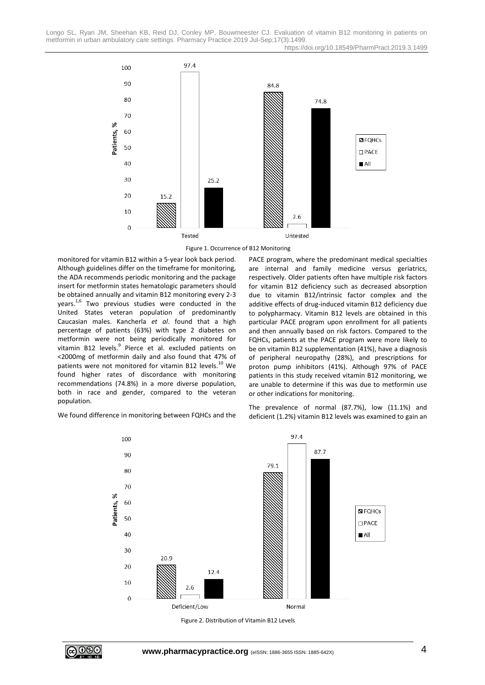Longo SL, Ryan JM, Sheehan KB, Reid DJ, Conley MP, Bouwmeester CJ. Evaluation of vitamin B12 monitoring in patients on metformin in urban ambulatory care settings. Pharmacy Practice 2019 Jul-Sep;17(3):1499. https://doi.org/10.18549/PharmPract.2019.3.1499



Figure 1. Occurrence of B12 Monitoring

monitored for vitamin B12 within a 5-year look back period. Although guidelines differ on the timeframe for monitoring, the ADA recommends periodic monitoring and the package insert for metformin states hematologic parameters should be obtained annually and vitamin B12 monitoring every 2-3 years.<sup>1,6</sup> Two previous studies were conducted in the United States veteran population of predominantly Caucasian males. Kancherla *et al*. found that a high percentage of patients (63%) with type 2 diabetes on metformin were not being periodically monitored for vitamin B12 levels.<sup>9</sup> Pierce et al. excluded patients on <2000mg of metformin daily and also found that 47% of patients were not monitored for vitamin B12 levels.<sup>10</sup> We found higher rates of discordance with monitoring recommendations (74.8%) in a more diverse population, both in race and gender, compared to the veteran population.

PACE program, where the predominant medical specialties are internal and family medicine versus geriatrics, respectively. Older patients often have multiple risk factors for vitamin B12 deficiency such as decreased absorption due to vitamin B12/intrinsic factor complex and the additive effects of drug-induced vitamin B12 deficiency due to polypharmacy. Vitamin B12 levels are obtained in this particular PACE program upon enrollment for all patients and then annually based on risk factors. Compared to the FQHCs, patients at the PACE program were more likely to be on vitamin B12 supplementation (41%), have a diagnosis of peripheral neuropathy (28%), and prescriptions for proton pump inhibitors (41%). Although 97% of PACE patients in this study received vitamin B12 monitoring, we are unable to determine if this was due to metformin use or other indications for monitoring.

We found difference in monitoring between FQHCs and the

The prevalence of normal (87.7%), low (11.1%) and deficient (1.2%) vitamin B12 levels was examined to gain an



Figure 2. Distribution of Vitamin B12 Levels

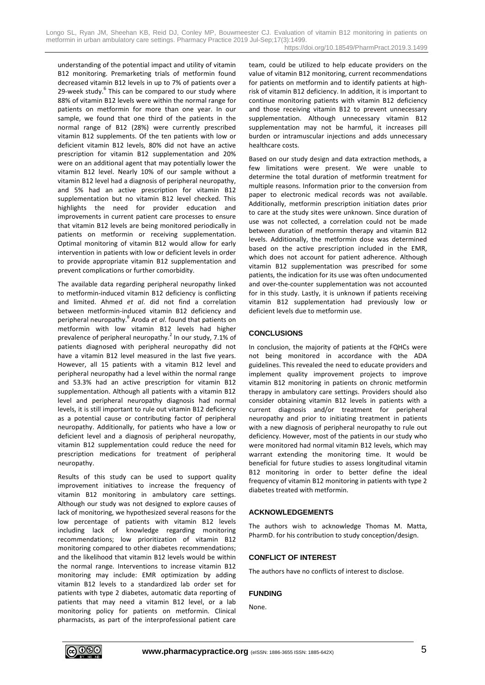Longo SL, Ryan JM, Sheehan KB, Reid DJ, Conley MP, Bouwmeester CJ. Evaluation of vitamin B12 monitoring in patients on metformin in urban ambulatory care settings. Pharmacy Practice 2019 Jul-Sep;17(3):1499. https://doi.org/10.18549/PharmPract.2019.3.1499

understanding of the potential impact and utility of vitamin B12 monitoring. Premarketing trials of metformin found decreased vitamin B12 levels in up to 7% of patients over a 29-week study.<sup>6</sup> This can be compared to our study where 88% of vitamin B12 levels were within the normal range for patients on metformin for more than one year. In our sample, we found that one third of the patients in the normal range of B12 (28%) were currently prescribed vitamin B12 supplements. Of the ten patients with low or deficient vitamin B12 levels, 80% did not have an active prescription for vitamin B12 supplementation and 20% were on an additional agent that may potentially lower the vitamin B12 level. Nearly 10% of our sample without a vitamin B12 level had a diagnosis of peripheral neuropathy, and 5% had an active prescription for vitamin B12 supplementation but no vitamin B12 level checked. This highlights the need for provider education and improvements in current patient care processes to ensure that vitamin B12 levels are being monitored periodically in patients on metformin or receiving supplementation. Optimal monitoring of vitamin B12 would allow for early intervention in patients with low or deficient levels in order to provide appropriate vitamin B12 supplementation and prevent complications or further comorbidity.

The available data regarding peripheral neuropathy linked to metformin-induced vitamin B12 deficiency is conflicting and limited. Ahmed *et al*. did not find a correlation between metformin-induced vitamin B12 deficiency and peripheral neuropathy.<sup>8</sup> Aroda *et al*. found that patients on metformin with low vitamin B12 levels had higher prevalence of peripheral neuropathy.<sup>2</sup> In our study, 7.1% of patients diagnosed with peripheral neuropathy did not have a vitamin B12 level measured in the last five years. However, all 15 patients with a vitamin B12 level and peripheral neuropathy had a level within the normal range and 53.3% had an active prescription for vitamin B12 supplementation. Although all patients with a vitamin B12 level and peripheral neuropathy diagnosis had normal levels, it is still important to rule out vitamin B12 deficiency as a potential cause or contributing factor of peripheral neuropathy. Additionally, for patients who have a low or deficient level and a diagnosis of peripheral neuropathy, vitamin B12 supplementation could reduce the need for prescription medications for treatment of peripheral neuropathy.

Results of this study can be used to support quality improvement initiatives to increase the frequency of vitamin B12 monitoring in ambulatory care settings. Although our study was not designed to explore causes of lack of monitoring, we hypothesized several reasons for the low percentage of patients with vitamin B12 levels including lack of knowledge regarding monitoring recommendations; low prioritization of vitamin B12 monitoring compared to other diabetes recommendations; and the likelihood that vitamin B12 levels would be within the normal range. Interventions to increase vitamin B12 monitoring may include: EMR optimization by adding vitamin B12 levels to a standardized lab order set for patients with type 2 diabetes, automatic data reporting of patients that may need a vitamin B12 level, or a lab monitoring policy for patients on metformin. Clinical pharmacists, as part of the interprofessional patient care team, could be utilized to help educate providers on the value of vitamin B12 monitoring, current recommendations for patients on metformin and to identify patients at highrisk of vitamin B12 deficiency. In addition, it is important to continue monitoring patients with vitamin B12 deficiency and those receiving vitamin B12 to prevent unnecessary supplementation. Although unnecessary vitamin B12 supplementation may not be harmful, it increases pill burden or intramuscular injections and adds unnecessary healthcare costs.

Based on our study design and data extraction methods, a few limitations were present. We were unable to determine the total duration of metformin treatment for multiple reasons. Information prior to the conversion from paper to electronic medical records was not available. Additionally, metformin prescription initiation dates prior to care at the study sites were unknown. Since duration of use was not collected, a correlation could not be made between duration of metformin therapy and vitamin B12 levels. Additionally, the metformin dose was determined based on the active prescription included in the EMR, which does not account for patient adherence. Although vitamin B12 supplementation was prescribed for some patients, the indication for its use was often undocumented and over-the-counter supplementation was not accounted for in this study. Lastly, it is unknown if patients receiving vitamin B12 supplementation had previously low or deficient levels due to metformin use.

### **CONCLUSIONS**

In conclusion, the majority of patients at the FQHCs were not being monitored in accordance with the ADA guidelines. This revealed the need to educate providers and implement quality improvement projects to improve vitamin B12 monitoring in patients on chronic metformin therapy in ambulatory care settings. Providers should also consider obtaining vitamin B12 levels in patients with a current diagnosis and/or treatment for peripheral neuropathy and prior to initiating treatment in patients with a new diagnosis of peripheral neuropathy to rule out deficiency. However, most of the patients in our study who were monitored had normal vitamin B12 levels, which may warrant extending the monitoring time. It would be beneficial for future studies to assess longitudinal vitamin B12 monitoring in order to better define the ideal frequency of vitamin B12 monitoring in patients with type 2 diabetes treated with metformin.

#### **ACKNOWLEDGEMENTS**

The authors wish to acknowledge Thomas M. Matta, PharmD. for his contribution to study conception/design.

#### **CONFLICT OF INTEREST**

The authors have no conflicts of interest to disclose.

#### **FUNDING**

None.